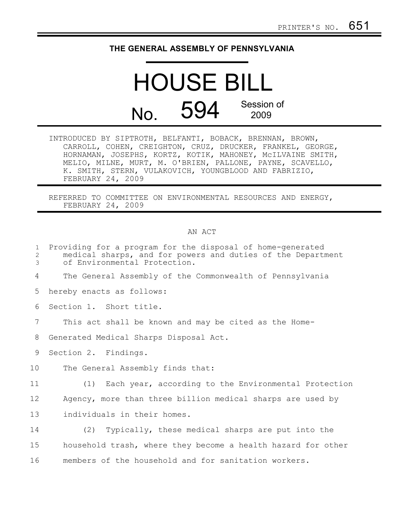## **THE GENERAL ASSEMBLY OF PENNSYLVANIA**

## HOUSE BILL No. 594 Session of 2009

INTRODUCED BY SIPTROTH, BELFANTI, BOBACK, BRENNAN, BROWN, CARROLL, COHEN, CREIGHTON, CRUZ, DRUCKER, FRANKEL, GEORGE, HORNAMAN, JOSEPHS, KORTZ, KOTIK, MAHONEY, McILVAINE SMITH, MELIO, MILNE, MURT, M. O'BRIEN, PALLONE, PAYNE, SCAVELLO, K. SMITH, STERN, VULAKOVICH, YOUNGBLOOD AND FABRIZIO, FEBRUARY 24, 2009

REFERRED TO COMMITTEE ON ENVIRONMENTAL RESOURCES AND ENERGY, FEBRUARY 24, 2009

## AN ACT

| $\mathbf{1}$<br>$\mathbf{2}$<br>3 | Providing for a program for the disposal of home-generated<br>medical sharps, and for powers and duties of the Department<br>of Environmental Protection. |
|-----------------------------------|-----------------------------------------------------------------------------------------------------------------------------------------------------------|
| 4                                 | The General Assembly of the Commonwealth of Pennsylvania                                                                                                  |
| 5                                 | hereby enacts as follows:                                                                                                                                 |
| 6                                 | Section 1. Short title.                                                                                                                                   |
| 7                                 | This act shall be known and may be cited as the Home-                                                                                                     |
| 8                                 | Generated Medical Sharps Disposal Act.                                                                                                                    |
| 9                                 | Section 2. Findings.                                                                                                                                      |
| 10                                | The General Assembly finds that:                                                                                                                          |
| 11                                | (1) Each year, according to the Environmental Protection                                                                                                  |
| 12                                | Agency, more than three billion medical sharps are used by                                                                                                |
| 13                                | individuals in their homes.                                                                                                                               |
| 14                                | (2) Typically, these medical sharps are put into the                                                                                                      |
| 15                                | household trash, where they become a health hazard for other                                                                                              |
| 16                                | members of the household and for sanitation workers.                                                                                                      |
|                                   |                                                                                                                                                           |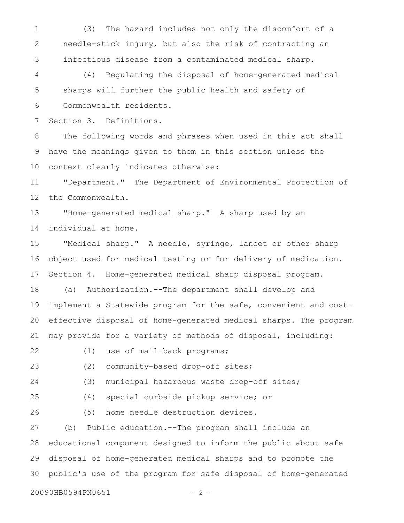(3) The hazard includes not only the discomfort of a needle-stick injury, but also the risk of contracting an infectious disease from a contaminated medical sharp. 1 2 3

(4) Regulating the disposal of home-generated medical sharps will further the public health and safety of Commonwealth residents. 4 5 6

Section 3. Definitions. 7

The following words and phrases when used in this act shall have the meanings given to them in this section unless the context clearly indicates otherwise: 8 9 10

"Department." The Department of Environmental Protection of the Commonwealth. 11 12

"Home-generated medical sharp." A sharp used by an individual at home. 13 14

"Medical sharp." A needle, syringe, lancet or other sharp object used for medical testing or for delivery of medication. Section 4. Home-generated medical sharp disposal program. 15 16 17

(a) Authorization.--The department shall develop and implement a Statewide program for the safe, convenient and costeffective disposal of home-generated medical sharps. The program may provide for a variety of methods of disposal, including: 18 19 20 21

(1) use of mail-back programs; 22

(2) community-based drop-off sites; 23

(3) municipal hazardous waste drop-off sites;

25

24

(4) special curbside pickup service; or

(5) home needle destruction devices. 26

(b) Public education.--The program shall include an educational component designed to inform the public about safe disposal of home-generated medical sharps and to promote the public's use of the program for safe disposal of home-generated 27 28 29 30

20090HB0594PN0651 - 2 -